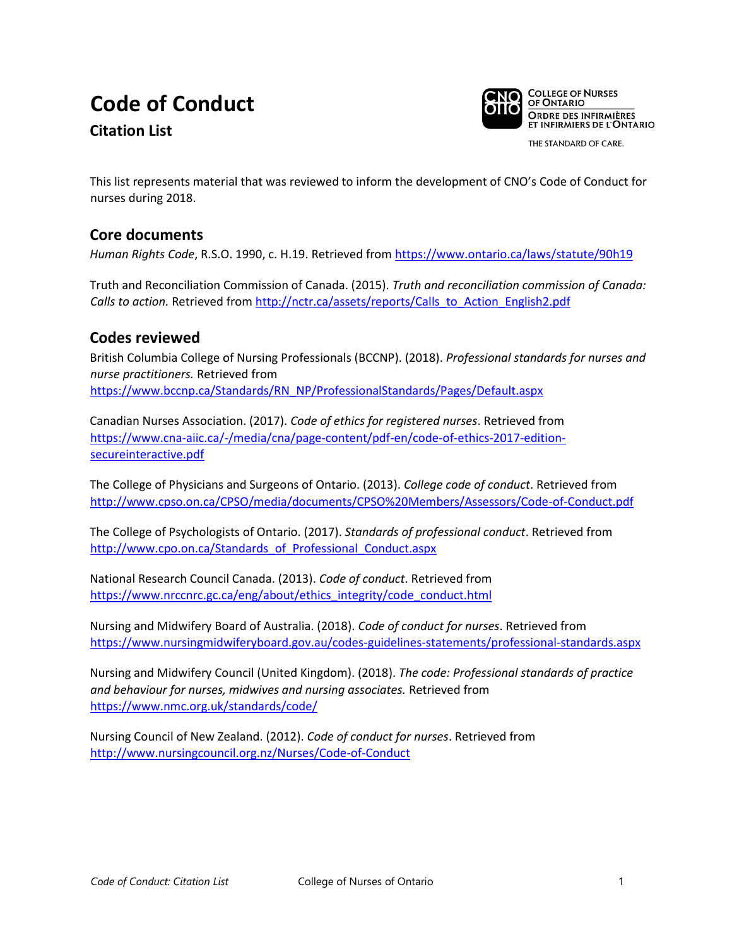## **Code of Conduct**

 **Citation List** 



THE STANDARD OF CARE.

This list represents material that was reviewed to inform the development of CNO's Code of Conduct for nurses during 2018.

## **Core documents**

*Human Rights Code*, R.S.O. 1990, c. H.19. Retrieved from<https://www.ontario.ca/laws/statute/90h19>

Truth and Reconciliation Commission of Canada. (2015). *Truth and reconciliation commission of Canada: Calls to action.* Retrieved from http://nctr.ca/assets/reports/Calls\_to\_Action\_English2.pdf

## **Codes reviewed**

British Columbia College of Nursing Professionals (BCCNP). (2018). *Professional standards for nurses and nurse practitioners.* Retrieved from [https://www.bccnp.ca/Standards/RN\\_NP/ProfessionalStandards/Pages/Default.aspx](https://www.bccnp.ca/Standards/RN_NP/ProfessionalStandards/Pages/Default.aspx)

Canadian Nurses Association. (2017). *Code of ethics for registered nurses*. Retrieved from [https://www.cna-aiic.ca/-/media/cna/page-content/pdf-en/code-of-ethics-2017-edition](https://www.cna-aiic.ca/-/media/cna/page-content/pdf-en/code-of-ethics-2017-edition-secure-interactive.pdf)secureinteractive.pdf

The College of Physicians and Surgeons of Ontario. (2013). *College code of conduct*. Retrieved from <http://www.cpso.on.ca/CPSO/media/documents/CPSO%20Members/Assessors/Code-of-Conduct.pdf>

The College of Psychologists of Ontario. (2017). *Standards of professional conduct*. Retrieved from [http://www.cpo.on.ca/Standards\\_of\\_Professional\\_Conduct.aspx](http://www.cpo.on.ca/Standards_of_Professional_Conduct.aspx)

National Research Council Canada. (2013). *Code of conduct*. Retrieved from [https://www.nrccnrc.gc.ca/eng/about/ethics\\_integrity/code\\_conduct.html](https://www.nrc-cnrc.gc.ca/eng/about/ethics_integrity/code_conduct.html) 

Nursing and Midwifery Board of Australia. (2018). *Code of conduct for nurses*. Retrieved from <https://www.nursingmidwiferyboard.gov.au/codes-guidelines-statements/professional-standards.aspx>

Nursing and Midwifery Council (United Kingdom). (2018). *The code: Professional standards of practice and behaviour for nurses, midwives and nursing associates.* Retrieved from <https://www.nmc.org.uk/standards/code/>

Nursing Council of New Zealand. (2012). *Code of conduct for nurses*. Retrieved from <http://www.nursingcouncil.org.nz/Nurses/Code-of-Conduct>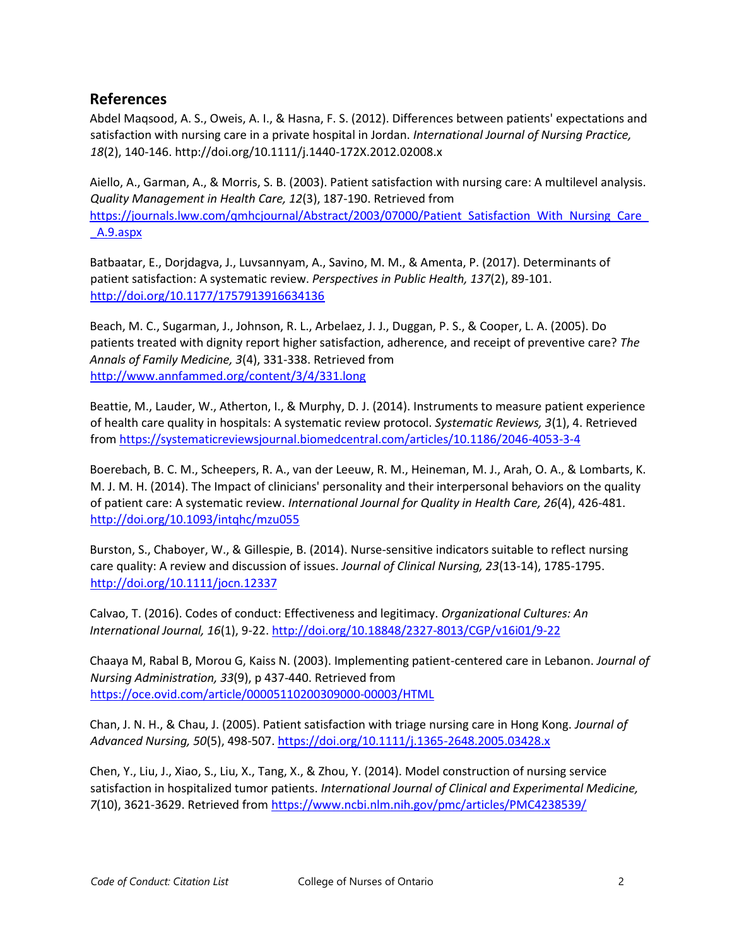## **References**

Abdel Maqsood, A. S., Oweis, A. I., & Hasna, F. S. (2012). Differences between patients' expectations and satisfaction with nursing care in a private hospital in Jordan. *International Journal of Nursing Practice, 18*(2), 140-146. http://doi.org/10.1111/j.1440-172X.2012.02008.x

Aiello, A., Garman, A., & Morris, S. B. (2003). Patient satisfaction with nursing care: A multilevel analysis. *Quality Management in Health Care, 12*(3), 187-190. Retrieved from https://journals.lww.com/qmhcjournal/Abstract/2003/07000/Patient\_Satisfaction\_With\_Nursing\_Care\_ \_A.9.aspx

Batbaatar, E., Dorjdagva, J., Luvsannyam, A., Savino, M. M., & Amenta, P. (2017). Determinants of patient satisfaction: A systematic review. *Perspectives in Public Health, 137*(2), 89-101. <http://doi.org/10.1177/1757913916634136>

Beach, M. C., Sugarman, J., Johnson, R. L., Arbelaez, J. J., Duggan, P. S., & Cooper, L. A. (2005). Do patients treated with dignity report higher satisfaction, adherence, and receipt of preventive care? *The Annals of Family Medicine, 3*(4), 331-338. Retrieved from <http://www.annfammed.org/content/3/4/331.long>

Beattie, M., Lauder, W., Atherton, I., & Murphy, D. J. (2014). Instruments to measure patient experience of health care quality in hospitals: A systematic review protocol. *Systematic Reviews, 3*(1), 4. Retrieved from<https://systematicreviewsjournal.biomedcentral.com/articles/10.1186/2046-4053-3-4>

Boerebach, B. C. M., Scheepers, R. A., van der Leeuw, R. M., Heineman, M. J., Arah, O. A., & Lombarts, K. M. J. M. H. (2014). The Impact of clinicians' personality and their interpersonal behaviors on the quality of patient care: A systematic review. *International Journal for Quality in Health Care, 26*(4), 426-481. <http://doi.org/10.1093/intqhc/mzu055>

Burston, S., Chaboyer, W., & Gillespie, B. (2014). Nurse-sensitive indicators suitable to reflect nursing care quality: A review and discussion of issues. *Journal of Clinical Nursing, 23*(13-14), 1785-1795. <http://doi.org/10.1111/jocn.12337>

Calvao, T. (2016). Codes of conduct: Effectiveness and legitimacy. *Organizational Cultures: An International Journal, 16*(1), 9-22[. http://doi.org/10.18848/2327-8013/CGP/v16i01/9-22](http://doi.org/10.18848/2327-8013/CGP/v16i01/9-22) 

Chaaya M, Rabal B, Morou G, Kaiss N. (2003). Implementing patient-centered care in Lebanon. *Journal of Nursing Administration, 33*(9), p 437-440. Retrieved from [https://oce.ovid.com/article/00005110200309000-00003/HTML](https://oce.ovid.com/article/00005110-200309000-00003/HTML) 

Chan, J. N. H., & Chau, J. (2005). Patient satisfaction with triage nursing care in Hong Kong. *Journal of Advanced Nursing, 50*(5), 498-507.<https://doi.org/10.1111/j.1365-2648.2005.03428.x>

Chen, Y., Liu, J., Xiao, S., Liu, X., Tang, X., & Zhou, Y. (2014). Model construction of nursing service satisfaction in hospitalized tumor patients. *International Journal of Clinical and Experimental Medicine, 7*(10), 3621-3629. Retrieved from<https://www.ncbi.nlm.nih.gov/pmc/articles/PMC4238539/>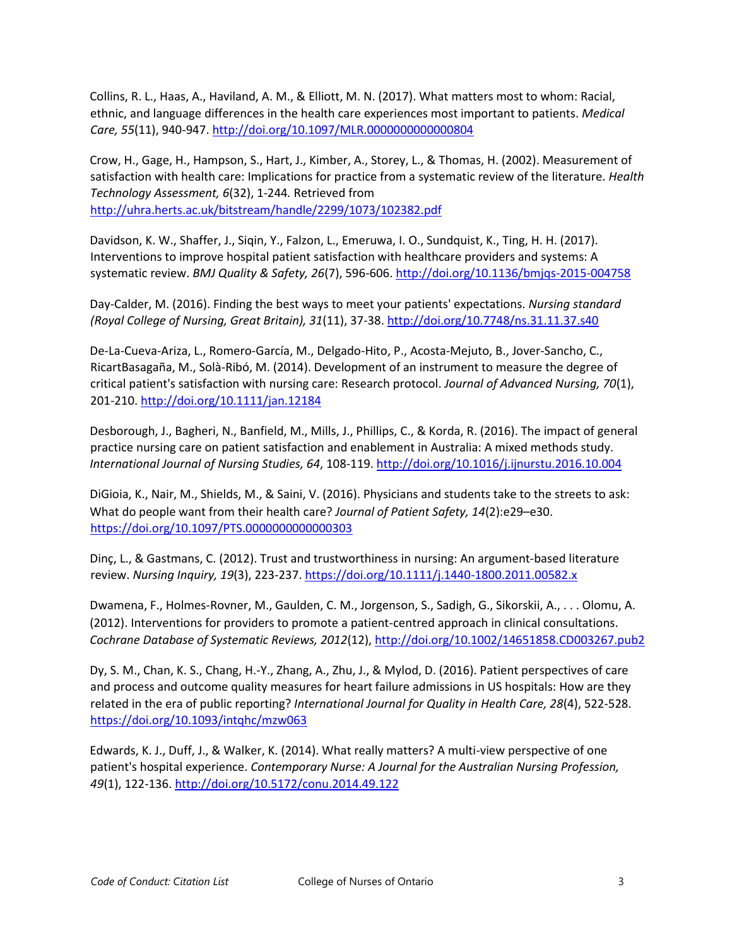Collins, R. L., Haas, A., Haviland, A. M., & Elliott, M. N. (2017). What matters most to whom: Racial, ethnic, and language differences in the health care experiences most important to patients. *Medical Care, 55*(11), 940-947[. http://doi.org/10.1097/MLR.0000000000000804](http://doi.org/10.1097/MLR.0000000000000804) 

Crow, H., Gage, H., Hampson, S., Hart, J., Kimber, A., Storey, L., & Thomas, H. (2002). Measurement of satisfaction with health care: Implications for practice from a systematic review of the literature. *Health Technology Assessment, 6*(32), 1-244*.* Retrieved from <http://uhra.herts.ac.uk/bitstream/handle/2299/1073/102382.pdf>

Davidson, K. W., Shaffer, J., Siqin, Y., Falzon, L., Emeruwa, I. O., Sundquist, K., Ting, H. H. (2017). Interventions to improve hospital patient satisfaction with healthcare providers and systems: A systematic review. *BMJ Quality & Safety, 26*(7), 596-606.<http://doi.org/10.1136/bmjqs-2015-004758>

Day-Calder, M. (2016). Finding the best ways to meet your patients' expectations. *Nursing standard (Royal College of Nursing, Great Britain), 31*(11), 37-38.<http://doi.org/10.7748/ns.31.11.37.s40>

De-La-Cueva-Ariza, L., Romero-García, M., Delgado-Hito, P., Acosta-Mejuto, B., Jover-Sancho, C., RicartBasagaña, M., Solà‐Ribó, M. (2014). Development of an instrument to measure the degree of critical patient's satisfaction with nursing care: Research protocol. *Journal of Advanced Nursing, 70*(1), 201-210[. http://doi.org/10.1111/jan.12184](http://doi.org/10.1111/jan.12184)

Desborough, J., Bagheri, N., Banfield, M., Mills, J., Phillips, C., & Korda, R. (2016). The impact of general practice nursing care on patient satisfaction and enablement in Australia: A mixed methods study. *International Journal of Nursing Studies, 64*, 108-119.<http://doi.org/10.1016/j.ijnurstu.2016.10.004>

DiGioia, K., Nair, M., Shields, M., & Saini, V. (2016). Physicians and students take to the streets to ask: What do people want from their health care? *Journal of Patient Safety, 14*(2):e29–e30. <https://doi.org/10.1097/PTS.0000000000000303>

Dinç, L., & Gastmans, C. (2012). Trust and trustworthiness in nursing: An argument‐based literature review. *Nursing Inquiry, 19*(3), 223-237.<https://doi.org/10.1111/j.1440-1800.2011.00582.x>

Dwamena, F., Holmes-Rovner, M., Gaulden, C. M., Jorgenson, S., Sadigh, G., Sikorskii, A., . . . Olomu, A. (2012). Interventions for providers to promote a patient-centred approach in clinical consultations. *Cochrane Database of Systematic Reviews, 2012*(12)[, http://doi.org/10.1002/14651858.CD003267.pub2](http://doi.org/10.1002/14651858.CD003267.pub2)

Dy, S. M., Chan, K. S., Chang, H.-Y., Zhang, A., Zhu, J., & Mylod, D. (2016). Patient perspectives of care and process and outcome quality measures for heart failure admissions in US hospitals: How are they related in the era of public reporting? *International Journal for Quality in Health Care, 28*(4), 522-528. <https://doi.org/10.1093/intqhc/mzw063>

Edwards, K. J., Duff, J., & Walker, K. (2014). What really matters? A multi-view perspective of one patient's hospital experience. *Contemporary Nurse: A Journal for the Australian Nursing Profession, 49*(1), 122-136.<http://doi.org/10.5172/conu.2014.49.122>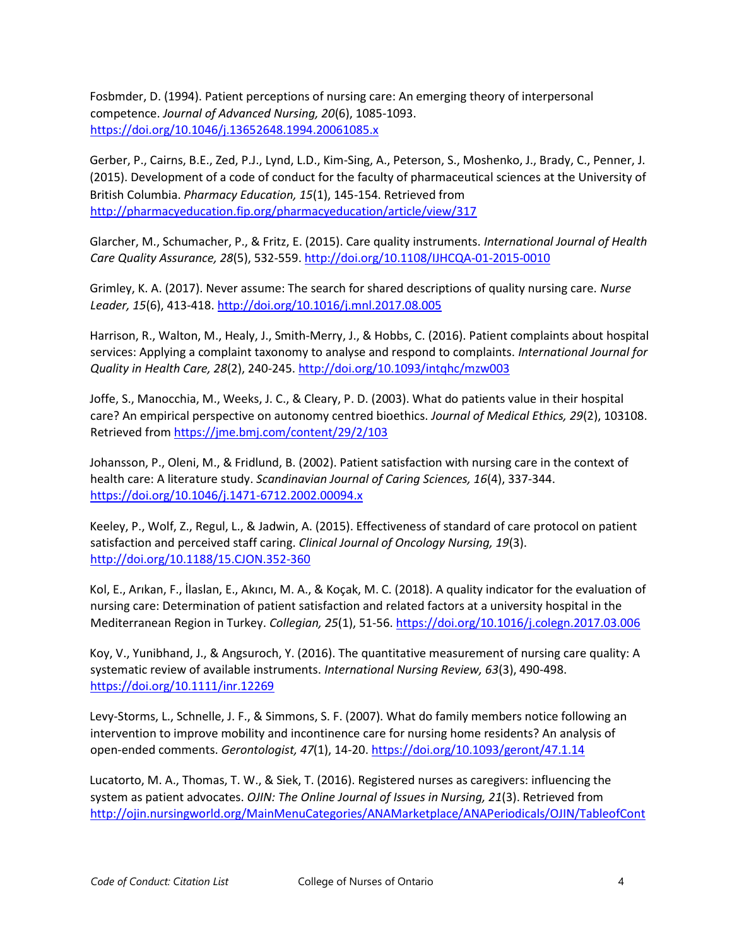Fosbmder, D. (1994). Patient perceptions of nursing care: An emerging theory of interpersonal competence. *Journal of Advanced Nursing, 20*(6), 1085-1093. [https://doi.org/10.1046/j.13652648.1994.20061085.x](https://doi.org/10.1046/j.1365-2648.1994.20061085.x) 

Gerber, P., Cairns, B.E., Zed, P.J., Lynd, L.D., Kim-Sing, A., Peterson, S., Moshenko, J., Brady, C., Penner, J. (2015). Development of a code of conduct for the faculty of pharmaceutical sciences at the University of British Columbia. *Pharmacy Education, 15*(1), 145-154. Retrieved from <http://pharmacyeducation.fip.org/pharmacyeducation/article/view/317>

Glarcher, M., Schumacher, P., & Fritz, E. (2015). Care quality instruments. *International Journal of Health Care Quality Assurance, 28*(5), 532-559[. http://doi.org/10.1108/IJHCQA-01-2015-0010](http://doi.org/10.1108/IJHCQA-01-2015-0010) 

Grimley, K. A. (2017). Never assume: The search for shared descriptions of quality nursing care. *Nurse Leader, 15*(6), 413-418.<http://doi.org/10.1016/j.mnl.2017.08.005>

Harrison, R., Walton, M., Healy, J., Smith-Merry, J., & Hobbs, C. (2016). Patient complaints about hospital services: Applying a complaint taxonomy to analyse and respond to complaints. *International Journal for Quality in Health Care, 28*(2), 240-245[. http://doi.org/10.1093/intqhc/mzw003](http://doi.org/10.1093/intqhc/mzw003)

Joffe, S., Manocchia, M., Weeks, J. C., & Cleary, P. D. (2003). What do patients value in their hospital care? An empirical perspective on autonomy centred bioethics. *Journal of Medical Ethics, 29*(2), 103108. Retrieved fro[m https://jme.bmj.com/content/29/2/103](https://jme.bmj.com/content/29/2/103) 

Johansson, P., Oleni, M., & Fridlund, B. (2002). Patient satisfaction with nursing care in the context of health care: A literature study. *Scandinavian Journal of Caring Sciences, 16*(4), 337-344. <https://doi.org/10.1046/j.1471-6712.2002.00094.x>

Keeley, P., Wolf, Z., Regul, L., & Jadwin, A. (2015). Effectiveness of standard of care protocol on patient satisfaction and perceived staff caring. *Clinical Journal of Oncology Nursing, 19*(3). <http://doi.org/10.1188/15.CJON.352-360>

Kol, E., Arıkan, F., İlaslan, E., Akıncı, M. A., & Koçak, M. C. (2018). A quality indicator for the evaluation of nursing care: Determination of patient satisfaction and related factors at a university hospital in the Mediterranean Region in Turkey. *Collegian, 25*(1), 51-56.<https://doi.org/10.1016/j.colegn.2017.03.006>

Koy, V., Yunibhand, J., & Angsuroch, Y. (2016). The quantitative measurement of nursing care quality: A systematic review of available instruments. *International Nursing Review, 63*(3), 490-498. <https://doi.org/10.1111/inr.12269>

Levy-Storms, L., Schnelle, J. F., & Simmons, S. F. (2007). What do family members notice following an intervention to improve mobility and incontinence care for nursing home residents? An analysis of open-ended comments. *Gerontologist, 47*(1), 14-20.<https://doi.org/10.1093/geront/47.1.14>

Lucatorto, M. A., Thomas, T. W., & Siek, T. (2016). Registered nurses as caregivers: influencing the system as patient advocates. *OJIN: The Online Journal of Issues in Nursing, 21*(3). Retrieved from [http://ojin.nursingworld.org/MainMenuCategories/ANAMarketplace/ANAPeriodicals/OJIN/TableofCont](http://ojin.nursingworld.org/MainMenuCategories/ANAMarketplace/ANAPeriodicals/OJIN/TableofContents/Vol-21-2016/No3-Sept-2016/Registered-Nurses-as-Caregivers-Influencing-the-System-as-Patient-Advocates.html)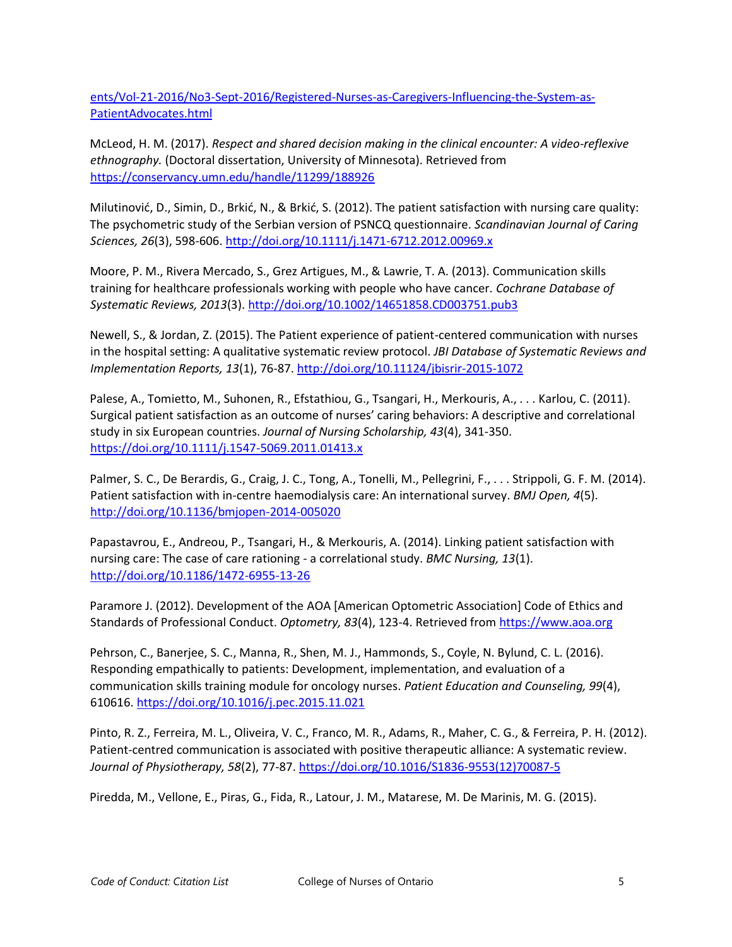[ents/Vol-21-2016/No3-Sept-2016/Registered-Nurses-as-Caregivers-Influencing-the-System-as-](http://ojin.nursingworld.org/MainMenuCategories/ANAMarketplace/ANAPeriodicals/OJIN/TableofContents/Vol-21-2016/No3-Sept-2016/Registered-Nurses-as-Caregivers-Influencing-the-System-as-Patient-Advocates.html)PatientAdvocates.html

McLeod, H. M. (2017). *Respect and shared decision making in the clinical encounter: A video-reflexive ethnography.* (Doctoral dissertation, University of Minnesota). Retrieved from <https://conservancy.umn.edu/handle/11299/188926>

Milutinović, D., Simin, D., Brkić, N., & Brkić, S. (2012). The patient satisfaction with nursing care quality: The psychometric study of the Serbian version of PSNCQ questionnaire. *Scandinavian Journal of Caring Sciences, 26*(3), 598-606[. http://doi.org/10.1111/j.1471-6712.2012.00969.x](http://doi.org/10.1111/j.1471-6712.2012.00969.x)

Moore, P. M., Rivera Mercado, S., Grez Artigues, M., & Lawrie, T. A. (2013). Communication skills training for healthcare professionals working with people who have cancer. *Cochrane Database of Systematic Reviews, 2013*(3)[. http://doi.org/10.1002/14651858.CD003751.pub3](http://doi.org/10.1002/14651858.CD003751.pub3)

Newell, S., & Jordan, Z. (2015). The Patient experience of patient-centered communication with nurses in the hospital setting: A qualitative systematic review protocol. *JBI Database of Systematic Reviews and Implementation Reports, 13*(1), 76-87[. http://doi.org/10.11124/jbisrir-2015-1072](http://doi.org/10.11124/jbisrir-2015-1072)

Palese, A., Tomietto, M., Suhonen, R., Efstathiou, G., Tsangari, H., Merkouris, A., . . . Karlou, C. (2011). Surgical patient satisfaction as an outcome of nurses' caring behaviors: A descriptive and correlational study in six European countries. *Journal of Nursing Scholarship, 43*(4), 341-350. <https://doi.org/10.1111/j.1547-5069.2011.01413.x>

Palmer, S. C., De Berardis, G., Craig, J. C., Tong, A., Tonelli, M., Pellegrini, F., . . . Strippoli, G. F. M. (2014). Patient satisfaction with in-centre haemodialysis care: An international survey. *BMJ Open, 4*(5). <http://doi.org/10.1136/bmjopen-2014-005020>

Papastavrou, E., Andreou, P., Tsangari, H., & Merkouris, A. (2014). Linking patient satisfaction with nursing care: The case of care rationing - a correlational study. *BMC Nursing, 13*(1). <http://doi.org/10.1186/1472-6955-13-26>

Paramore J. (2012). Development of the AOA [American Optometric Association] Code of Ethics and Standards of Professional Conduct. *Optometry, 83*(4), 123-4. Retrieved fro[m https://www.aoa.org](https://www.aoa.org)

Pehrson, C., Banerjee, S. C., Manna, R., Shen, M. J., Hammonds, S., Coyle, N. Bylund, C. L. (2016). Responding empathically to patients: Development, implementation, and evaluation of a communication skills training module for oncology nurses. *Patient Education and Counseling, 99*(4), 610616.<https://doi.org/10.1016/j.pec.2015.11.021>

Pinto, R. Z., Ferreira, M. L., Oliveira, V. C., Franco, M. R., Adams, R., Maher, C. G., & Ferreira, P. H. (2012). Patient-centred communication is associated with positive therapeutic alliance: A systematic review. *Journal of Physiotherapy, 58*(2), 77-87. [https://doi.org/10.1016/S1836-9553\(12\)70087-5](https://doi.org/10.1016/S1836-9553(12)70087-5) 

Piredda, M., Vellone, E., Piras, G., Fida, R., Latour, J. M., Matarese, M. De Marinis, M. G. (2015).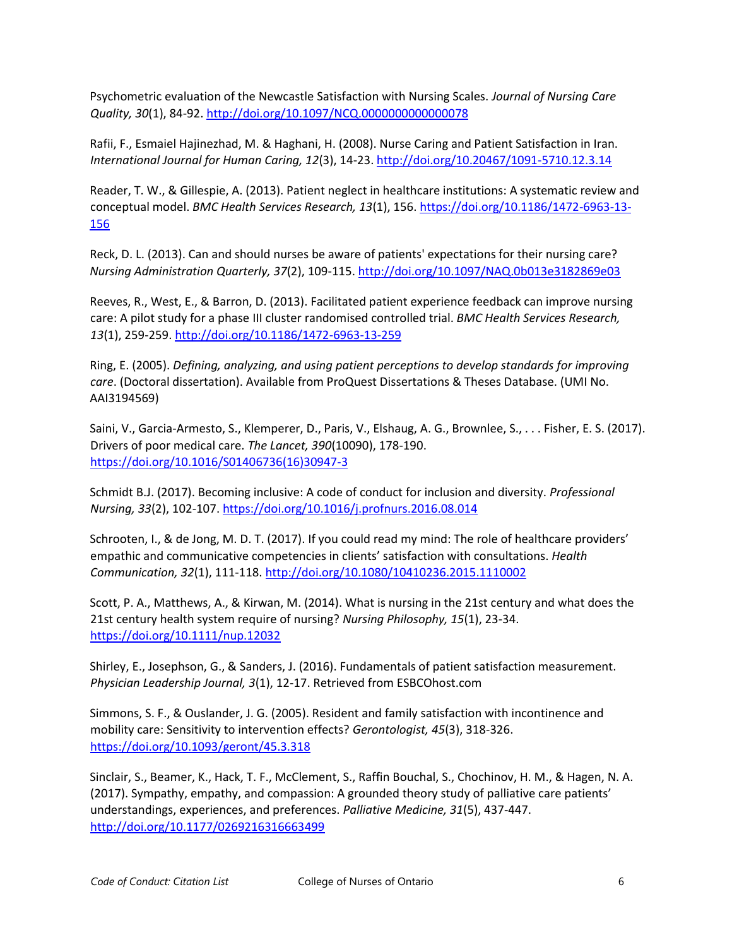Psychometric evaluation of the Newcastle Satisfaction with Nursing Scales. *Journal of Nursing Care Quality, 30*(1), 84-92[. http://doi.org/10.1097/NCQ.0000000000000078](http://doi.org/10.1097/NCQ.0000000000000078)

Rafii, F., Esmaiel Hajinezhad, M. & Haghani, H. (2008). Nurse Caring and Patient Satisfaction in Iran. *International Journal for Human Caring, 12*(3), 14-23.<http://doi.org/10.20467/1091-5710.12.3.14>

Reader, T. W., & Gillespie, A. (2013). Patient neglect in healthcare institutions: A systematic review and conceptual model. *BMC Health Services Research, 13*(1), 156. [https://doi.org/10.1186/1472-6963-13](https://doi.org/10.1186/1472-6963-13-156) [156](https://doi.org/10.1186/1472-6963-13-156)

Reck, D. L. (2013). Can and should nurses be aware of patients' expectations for their nursing care? *Nursing Administration Quarterly, 37*(2), 109-115[. http://doi.org/10.1097/NAQ.0b013e3182869e03](http://doi.org/10.1097/NAQ.0b013e3182869e03)

Reeves, R., West, E., & Barron, D. (2013). Facilitated patient experience feedback can improve nursing care: A pilot study for a phase III cluster randomised controlled trial. *BMC Health Services Research, 13*(1), 259-259.<http://doi.org/10.1186/1472-6963-13-259>

Ring, E. (2005). *Defining, analyzing, and using patient perceptions to develop standards for improving care*. (Doctoral dissertation). Available from ProQuest Dissertations & Theses Database. (UMI No. AAI3194569)

Saini, V., Garcia-Armesto, S., Klemperer, D., Paris, V., Elshaug, A. G., Brownlee, S., . . . Fisher, E. S. (2017). Drivers of poor medical care. *The Lancet, 390*(10090), 178-190. [https://doi.org/10.1016/S01406736\(16\)30947-3](https://doi.org/10.1016/S0140-6736(16)30947-3) 

Schmidt B.J. (2017). Becoming inclusive: A code of conduct for inclusion and diversity. *Professional Nursing, 33*(2), 102-107.<https://doi.org/10.1016/j.profnurs.2016.08.014>

Schrooten, I., & de Jong, M. D. T. (2017). If you could read my mind: The role of healthcare providers' empathic and communicative competencies in clients' satisfaction with consultations. *Health Communication, 32*(1), 111-118.<http://doi.org/10.1080/10410236.2015.1110002>

Scott, P. A., Matthews, A., & Kirwan, M. (2014). What is nursing in the 21st century and what does the 21st century health system require of nursing? *Nursing Philosophy, 15*(1), 23-34. <https://doi.org/10.1111/nup.12032>

Shirley, E., Josephson, G., & Sanders, J. (2016). Fundamentals of patient satisfaction measurement. *Physician Leadership Journal, 3*(1), 12-17. Retrieved from ESBCOhost.com

Simmons, S. F., & Ouslander, J. G. (2005). Resident and family satisfaction with incontinence and mobility care: Sensitivity to intervention effects? *Gerontologist, 45*(3), 318-326. <https://doi.org/10.1093/geront/45.3.318>

Sinclair, S., Beamer, K., Hack, T. F., McClement, S., Raffin Bouchal, S., Chochinov, H. M., & Hagen, N. A. (2017). Sympathy, empathy, and compassion: A grounded theory study of palliative care patients' understandings, experiences, and preferences. *Palliative Medicine, 31*(5), 437-447. <http://doi.org/10.1177/0269216316663499>